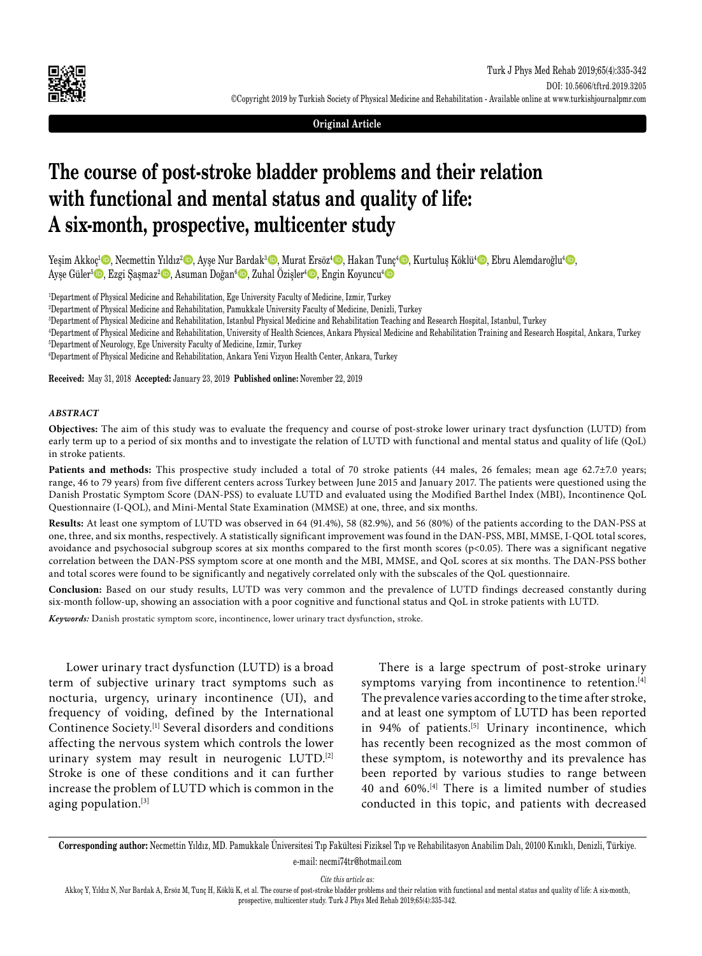

**Original Article**

# **The course of post-stroke bladder problems and their relation with functional and mental status and quality of life: A six-month, prospective, multicenter study**

Yeşim Akkoç<sup>ı</sup>©, Necmettin Yıldız<sup>2</sup>©, Ayşe Nur Bardak<sup>3</sup>©, Murat Ersöz<sup>4</sup>©, Hakan Tunç<sup>4</sup>©, Kurtuluş Köklü<sup>4</sup>©, Ebru Alemdaroğlu<sup>4</sup>©, Ayşe Güler<sup>5</sup>©, Ezgi Şaşmaz<sup>2</sup> ©, Asuman Doğan<sup>6</sup> ©, Zuhal Özişler<sup>4</sup> ©, Engin Koyuncu<sup>4</sup> ©

1 Department of Physical Medicine and Rehabilitation, Ege University Faculty of Medicine, Izmir, Turkey

2 Department of Physical Medicine and Rehabilitation, Pamukkale University Faculty of Medicine, Denizli, Turkey

3 Department of Physical Medicine and Rehabilitation, Istanbul Physical Medicine and Rehabilitation Teaching and Research Hospital, Istanbul, Turkey

4 Department of Physical Medicine and Rehabilitation, University of Health Sciences, Ankara Physical Medicine and Rehabilitation Training and Research Hospital, Ankara, Turkey 5 Department of Neurology, Ege University Faculty of Medicine, Izmir, Turkey

6 Department of Physical Medicine and Rehabilitation, Ankara Yeni Vizyon Health Center, Ankara, Turkey

**Received:** May 31, 2018 **Accepted:** January 23, 2019 **Published online:** November 22, 2019

#### *ABSTRACT*

**Objectives:** The aim of this study was to evaluate the frequency and course of post-stroke lower urinary tract dysfunction (LUTD) from early term up to a period of six months and to investigate the relation of LUTD with functional and mental status and quality of life (QoL) in stroke patients.

**Patients and methods:** This prospective study included a total of 70 stroke patients (44 males, 26 females; mean age 62.7±7.0 years; range, 46 to 79 years) from five different centers across Turkey between June 2015 and January 2017. The patients were questioned using the Danish Prostatic Symptom Score (DAN-PSS) to evaluate LUTD and evaluated using the Modified Barthel Index (MBI), Incontinence QoL Questionnaire (I-QOL), and Mini-Mental State Examination (MMSE) at one, three, and six months.

**Results:** At least one symptom of LUTD was observed in 64 (91.4%), 58 (82.9%), and 56 (80%) of the patients according to the DAN-PSS at one, three, and six months, respectively. A statistically significant improvement was found in the DAN-PSS, MBI, MMSE, I-QOL total scores, avoidance and psychosocial subgroup scores at six months compared to the first month scores (p<0.05). There was a significant negative correlation between the DAN-PSS symptom score at one month and the MBI, MMSE, and QoL scores at six months. The DAN-PSS bother and total scores were found to be significantly and negatively correlated only with the subscales of the QoL questionnaire.

**Conclusion:** Based on our study results, LUTD was very common and the prevalence of LUTD findings decreased constantly during six-month follow-up, showing an association with a poor cognitive and functional status and QoL in stroke patients with LUTD.

*Keywords:* Danish prostatic symptom score, incontinence, lower urinary tract dysfunction, stroke.

Lower urinary tract dysfunction (LUTD) is a broad term of subjective urinary tract symptoms such as nocturia, urgency, urinary incontinence (UI), and frequency of voiding, defined by the International Continence Society.[1] Several disorders and conditions affecting the nervous system which controls the lower urinary system may result in neurogenic LUTD.[2] Stroke is one of these conditions and it can further increase the problem of LUTD which is common in the aging population.<sup>[3]</sup>

There is a large spectrum of post-stroke urinary symptoms varying from incontinence to retention.<sup>[4]</sup> The prevalence varies according to the time after stroke, and at least one symptom of LUTD has been reported in 94% of patients.<sup>[5]</sup> Urinary incontinence, which has recently been recognized as the most common of these symptom, is noteworthy and its prevalence has been reported by various studies to range between 40 and 60%.[4] There is a limited number of studies conducted in this topic, and patients with decreased

**Corresponding author:** Necmettin Yıldız, MD. Pamukkale Üniversitesi Tıp Fakültesi Fiziksel Tıp ve Rehabilitasyon Anabilim Dalı, 20100 Kınıklı, Denizli, Türkiye. e-mail: necmi74tr@hotmail.com

*Cite this article as:*

Akkoç Y, Yıldız N, Nur Bardak A, Ersöz M, Tunç H, Köklü K, et al. The course of post-stroke bladder problems and their relation with functional and mental status and quality of life: A six-month, prospective, multicenter study. Turk J Phys Med Rehab 2019;65(4):335-342.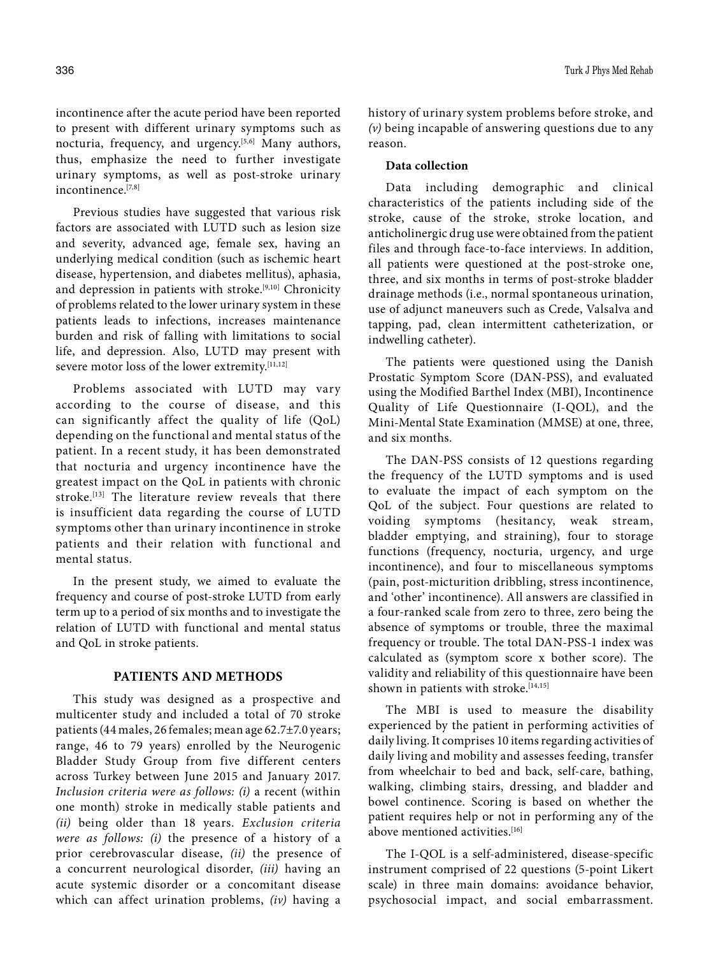incontinence after the acute period have been reported to present with different urinary symptoms such as nocturia, frequency, and urgency.<sup>[5,6]</sup> Many authors, thus, emphasize the need to further investigate urinary symptoms, as well as post-stroke urinary incontinence.[7,8]

Previous studies have suggested that various risk factors are associated with LUTD such as lesion size and severity, advanced age, female sex, having an underlying medical condition (such as ischemic heart disease, hypertension, and diabetes mellitus), aphasia, and depression in patients with stroke.[9,10] Chronicity of problems related to the lower urinary system in these patients leads to infections, increases maintenance burden and risk of falling with limitations to social life, and depression. Also, LUTD may present with severe motor loss of the lower extremity.[11,12]

Problems associated with LUTD may vary according to the course of disease, and this can significantly affect the quality of life (QoL) depending on the functional and mental status of the patient. In a recent study, it has been demonstrated that nocturia and urgency incontinence have the greatest impact on the QoL in patients with chronic stroke.<sup>[13]</sup> The literature review reveals that there is insufficient data regarding the course of LUTD symptoms other than urinary incontinence in stroke patients and their relation with functional and mental status.

In the present study, we aimed to evaluate the frequency and course of post-stroke LUTD from early term up to a period of six months and to investigate the relation of LUTD with functional and mental status and QoL in stroke patients.

## **PATIENTS AND METHODS**

This study was designed as a prospective and multicenter study and included a total of 70 stroke patients (44 males, 26 females; mean age 62.7±7.0 years; range, 46 to 79 years) enrolled by the Neurogenic Bladder Study Group from five different centers across Turkey between June 2015 and January 2017. *Inclusion criteria were as follows: (i)* a recent (within one month) stroke in medically stable patients and *(ii)* being older than 18 years. *Exclusion criteria were as follows: (i)* the presence of a history of a prior cerebrovascular disease, *(ii)* the presence of a concurrent neurological disorder, *(iii)* having an acute systemic disorder or a concomitant disease which can affect urination problems, *(iv)* having a history of urinary system problems before stroke, and *(v)* being incapable of answering questions due to any reason.

#### **Data collection**

Data including demographic and clinical characteristics of the patients including side of the stroke, cause of the stroke, stroke location, and anticholinergic drug use were obtained from the patient files and through face-to-face interviews. In addition, all patients were questioned at the post-stroke one, three, and six months in terms of post-stroke bladder drainage methods (i.e., normal spontaneous urination, use of adjunct maneuvers such as Crede, Valsalva and tapping, pad, clean intermittent catheterization, or indwelling catheter).

The patients were questioned using the Danish Prostatic Symptom Score (DAN-PSS), and evaluated using the Modified Barthel Index (MBI), Incontinence Quality of Life Questionnaire (I-QOL), and the Mini-Mental State Examination (MMSE) at one, three, and six months.

The DAN-PSS consists of 12 questions regarding the frequency of the LUTD symptoms and is used to evaluate the impact of each symptom on the QoL of the subject. Four questions are related to voiding symptoms (hesitancy, weak stream, bladder emptying, and straining), four to storage functions (frequency, nocturia, urgency, and urge incontinence), and four to miscellaneous symptoms (pain, post-micturition dribbling, stress incontinence, and 'other' incontinence). All answers are classified in a four-ranked scale from zero to three, zero being the absence of symptoms or trouble, three the maximal frequency or trouble. The total DAN-PSS-1 index was calculated as (symptom score x bother score). The validity and reliability of this questionnaire have been shown in patients with stroke.[14,15]

The MBI is used to measure the disability experienced by the patient in performing activities of daily living. It comprises 10 items regarding activities of daily living and mobility and assesses feeding, transfer from wheelchair to bed and back, self-care, bathing, walking, climbing stairs, dressing, and bladder and bowel continence. Scoring is based on whether the patient requires help or not in performing any of the above mentioned activities.<sup>[16]</sup>

The I-QOL is a self-administered, disease-specific instrument comprised of 22 questions (5-point Likert scale) in three main domains: avoidance behavior, psychosocial impact, and social embarrassment.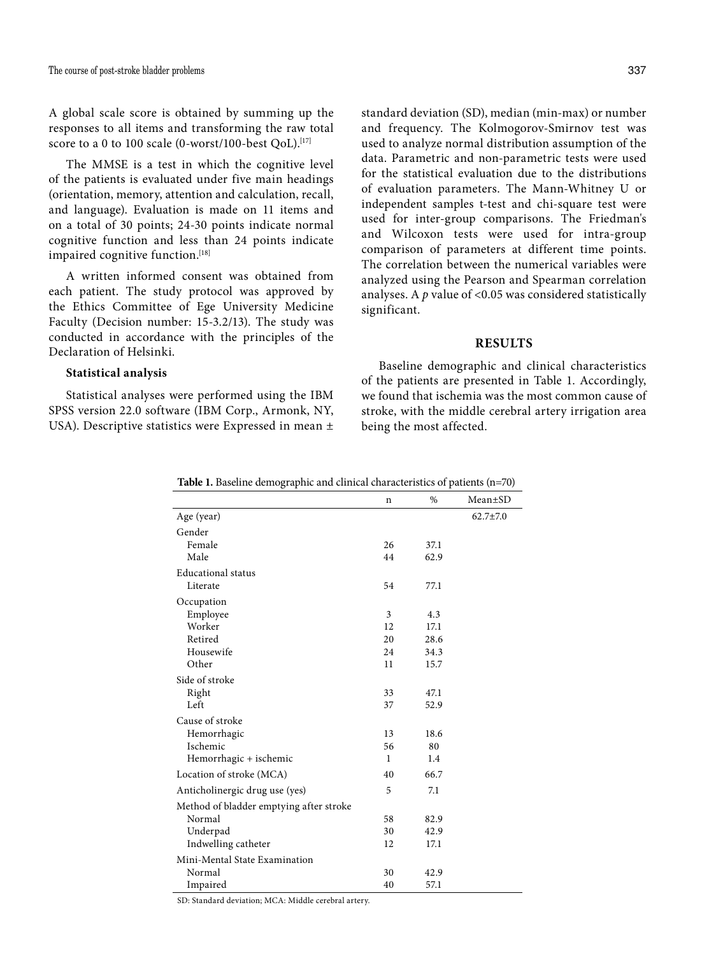A global scale score is obtained by summing up the responses to all items and transforming the raw total score to a 0 to 100 scale (0-worst/100-best QoL).<sup>[17]</sup>

The MMSE is a test in which the cognitive level of the patients is evaluated under five main headings (orientation, memory, attention and calculation, recall, and language). Evaluation is made on 11 items and on a total of 30 points; 24-30 points indicate normal cognitive function and less than 24 points indicate impaired cognitive function.<sup>[18]</sup>

A written informed consent was obtained from each patient. The study protocol was approved by the Ethics Committee of Ege University Medicine Faculty (Decision number: 15-3.2/13). The study was conducted in accordance with the principles of the Declaration of Helsinki.

#### **Statistical analysis**

Statistical analyses were performed using the IBM SPSS version 22.0 software (IBM Corp., Armonk, NY, USA). Descriptive statistics were Expressed in mean ± standard deviation (SD), median (min-max) or number and frequency. The Kolmogorov-Smirnov test was used to analyze normal distribution assumption of the data. Parametric and non-parametric tests were used for the statistical evaluation due to the distributions of evaluation parameters. The Mann-Whitney U or independent samples t-test and chi-square test were used for inter-group comparisons. The Friedman's and Wilcoxon tests were used for intra-group comparison of parameters at different time points. The correlation between the numerical variables were analyzed using the Pearson and Spearman correlation analyses. A *p* value of <0.05 was considered statistically significant.

## **RESULTS**

Baseline demographic and clinical characteristics of the patients are presented in Table 1. Accordingly, we found that ischemia was the most common cause of stroke, with the middle cerebral artery irrigation area being the most affected.

|                                         | n  | $\%$ | Mean±SD        |
|-----------------------------------------|----|------|----------------|
| Age (year)                              |    |      | $62.7 \pm 7.0$ |
| Gender                                  |    |      |                |
| Female                                  | 26 | 37.1 |                |
| Male                                    | 44 | 62.9 |                |
| Educational status                      |    |      |                |
| Literate                                | 54 | 77.1 |                |
| Occupation                              |    |      |                |
| Employee                                | 3  | 4.3  |                |
| Worker                                  | 12 | 17.1 |                |
| Retired                                 | 20 | 28.6 |                |
| Housewife                               | 24 | 34.3 |                |
| Other                                   | 11 | 15.7 |                |
| Side of stroke                          |    |      |                |
| Right                                   | 33 | 47.1 |                |
| Left                                    | 37 | 52.9 |                |
| Cause of stroke                         |    |      |                |
| Hemorrhagic                             | 13 | 18.6 |                |
| Ischemic                                | 56 | 80   |                |
| Hemorrhagic + ischemic                  | 1  | 1.4  |                |
| Location of stroke (MCA)                | 40 | 66.7 |                |
| Anticholinergic drug use (yes)          | 5  | 7.1  |                |
| Method of bladder emptying after stroke |    |      |                |
| Normal                                  | 58 | 82.9 |                |
| Underpad                                | 30 | 42.9 |                |
| Indwelling catheter                     | 12 | 17.1 |                |
| Mini-Mental State Examination           |    |      |                |
| Normal                                  | 30 | 42.9 |                |
| Impaired                                | 40 | 57.1 |                |

**Table 1.** Baseline demographic and clinical characteristics of patients (n=70)

SD: Standard deviation; MCA: Middle cerebral artery.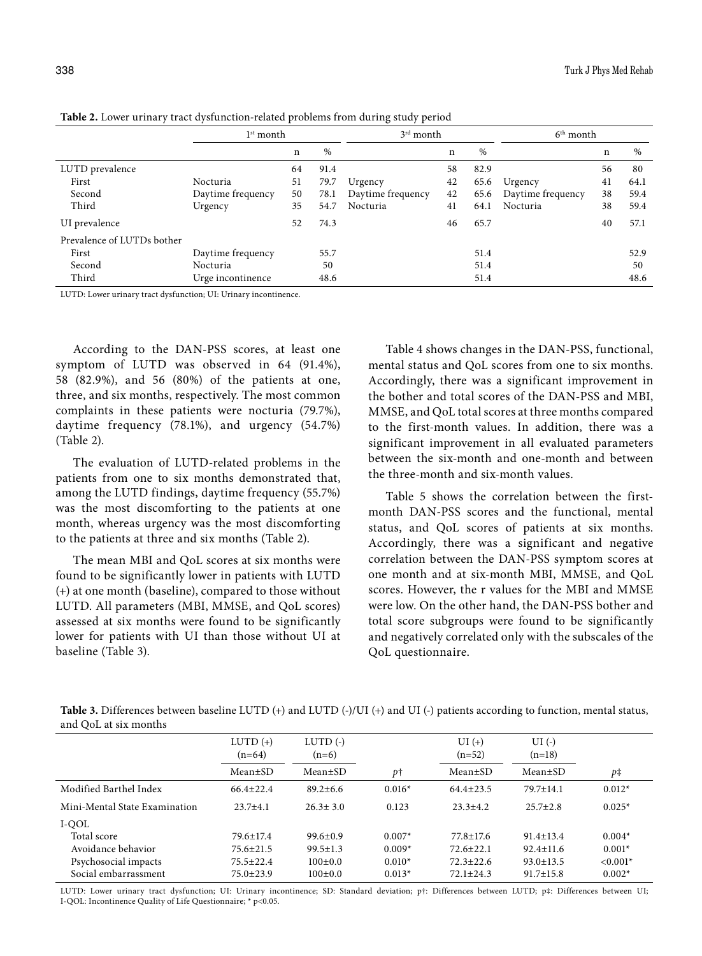| $\epsilon$                 |                   | л. |      | ັ<br>$\sqrt{1}$   |    |      |                   |    |      |
|----------------------------|-------------------|----|------|-------------------|----|------|-------------------|----|------|
|                            | $1st$ month       |    |      | 3rd month         |    |      | $6th$ month       |    |      |
|                            |                   | n  | %    |                   | n  | %    |                   | n  | %    |
| LUTD prevalence            |                   | 64 | 91.4 |                   | 58 | 82.9 |                   | 56 | 80   |
| First                      | Nocturia          | 51 | 79.7 | Urgency           | 42 | 65.6 | Urgency           | 41 | 64.1 |
| Second                     | Daytime frequency | 50 | 78.1 | Daytime frequency | 42 | 65.6 | Daytime frequency | 38 | 59.4 |
| Third                      | Urgency           | 35 | 54.7 | Nocturia          | 41 | 64.1 | Nocturia          | 38 | 59.4 |
| UI prevalence              |                   | 52 | 74.3 |                   | 46 | 65.7 |                   | 40 | 57.1 |
| Prevalence of LUTDs bother |                   |    |      |                   |    |      |                   |    |      |
| First                      | Daytime frequency |    | 55.7 |                   |    | 51.4 |                   |    | 52.9 |
| Second                     | Nocturia          |    | 50   |                   |    | 51.4 |                   |    | 50   |
| Third                      | Urge incontinence |    | 48.6 |                   |    | 51.4 |                   |    | 48.6 |

**Table 2.** Lower urinary tract dysfunction-related problems from during study period

LUTD: Lower urinary tract dysfunction; UI: Urinary incontinence.

According to the DAN-PSS scores, at least one symptom of LUTD was observed in 64 (91.4%), 58 (82.9%), and 56 (80%) of the patients at one, three, and six months, respectively. The most common complaints in these patients were nocturia (79.7%), daytime frequency (78.1%), and urgency (54.7%) (Table 2).

The evaluation of LUTD-related problems in the patients from one to six months demonstrated that, among the LUTD findings, daytime frequency (55.7%) was the most discomforting to the patients at one month, whereas urgency was the most discomforting to the patients at three and six months (Table 2).

The mean MBI and QoL scores at six months were found to be significantly lower in patients with LUTD (+) at one month (baseline), compared to those without LUTD. All parameters (MBI, MMSE, and QoL scores) assessed at six months were found to be significantly lower for patients with UI than those without UI at baseline (Table 3).

Table 4 shows changes in the DAN-PSS, functional, mental status and QoL scores from one to six months. Accordingly, there was a significant improvement in the bother and total scores of the DAN-PSS and MBI, MMSE, and QoL total scores at three months compared to the first-month values. In addition, there was a significant improvement in all evaluated parameters between the six-month and one-month and between the three-month and six-month values.

Table 5 shows the correlation between the firstmonth DAN-PSS scores and the functional, mental status, and QoL scores of patients at six months. Accordingly, there was a significant and negative correlation between the DAN-PSS symptom scores at one month and at six-month MBI, MMSE, and QoL scores. However, the r values for the MBI and MMSE were low. On the other hand, the DAN-PSS bother and total score subgroups were found to be significantly and negatively correlated only with the subscales of the QoL questionnaire.

**Table 3.** Differences between baseline LUTD (+) and LUTD (-)/UI (+) and UI (-) patients according to function, mental status, and QoL at six months

|                               | $LUTD (+)$<br>$(n=64)$ | LUTD $($ - $)$<br>$(n=6)$ |          | $UI(+)$<br>$(n=52)$ | $UI(-)$<br>$(n=18)$ |            |
|-------------------------------|------------------------|---------------------------|----------|---------------------|---------------------|------------|
|                               | Mean±SD                | $Mean \pm SD$             | pt       | Mean±SD             | $Mean \pm SD$       | p‡         |
| Modified Barthel Index        | $66.4 \pm 22.4$        | $89.2 \pm 6.6$            | $0.016*$ | $64.4 \pm 23.5$     | $79.7 \pm 14.1$     | $0.012*$   |
| Mini-Mental State Examination | $23.7 + 4.1$           | $26.3 \pm 3.0$            | 0.123    | $23.3 + 4.2$        | $25.7 \pm 2.8$      | $0.025*$   |
| I-QOL                         |                        |                           |          |                     |                     |            |
| Total score                   | $79.6 \pm 17.4$        | $99.6 \pm 0.9$            | $0.007*$ | $77.8 \pm 17.6$     | $91.4 \pm 13.4$     | $0.004*$   |
| Avoidance behavior            | $75.6 \pm 21.5$        | $99.5 \pm 1.3$            | $0.009*$ | $72.6 \pm 22.1$     | $92.4 \pm 11.6$     | $0.001*$   |
| Psychosocial impacts          | $75.5 \pm 22.4$        | $100+0.0$                 | $0.010*$ | $72.3 \pm 22.6$     | $93.0 \pm 13.5$     | $< 0.001*$ |
| Social embarrassment          | $75.0 \pm 23.9$        | $100 \pm 0.0$             | $0.013*$ | $72.1 \pm 24.3$     | $91.7 \pm 15.8$     | $0.002*$   |
|                               |                        |                           |          |                     |                     |            |

LUTD: Lower urinary tract dysfunction; UI: Urinary incontinence; SD: Standard deviation; p†: Differences between LUTD; p‡: Differences between UI; I-QOL: Incontinence Quality of Life Questionnaire; \* p<0.05.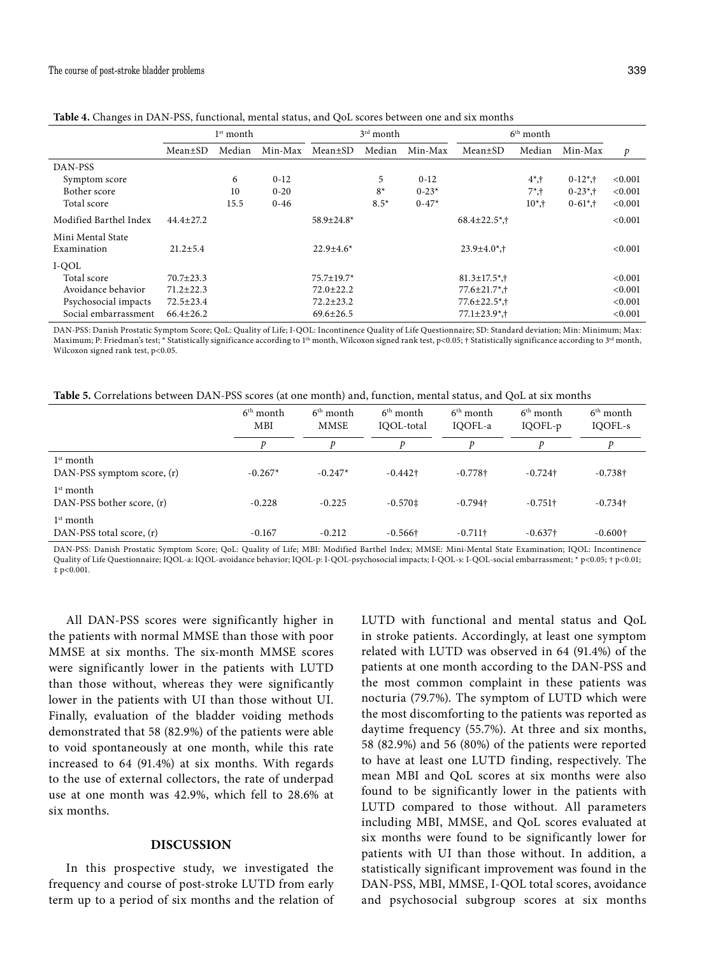|                        |                 | $3rd$ month<br>$1st$ month |          |                   |        | $6th$ month |                                             |           |             |               |
|------------------------|-----------------|----------------------------|----------|-------------------|--------|-------------|---------------------------------------------|-----------|-------------|---------------|
|                        |                 |                            |          |                   |        |             |                                             |           |             |               |
|                        | Mean±SD         | Median                     | Min-Max  | Mean±SD           | Median | Min-Max     | Mean+SD                                     | Median    | Min-Max     | $\mathcal{P}$ |
| DAN-PSS                |                 |                            |          |                   |        |             |                                             |           |             |               |
| Symptom score          |                 | 6                          | $0 - 12$ |                   | 5      | $0 - 12$    |                                             | $4^*$ ,†  | $0-12^*$ ,† | < 0.001       |
| Bother score           |                 | 10                         | $0 - 20$ |                   | $8*$   | $0 - 23*$   |                                             | $7^*$ , † | $0-23^*$ ,† | < 0.001       |
| Total score            |                 | 15.5                       | $0 - 46$ |                   | $8.5*$ | $0 - 47*$   |                                             | $10^*$ .† | $0-61^*$ ,† | < 0.001       |
| Modified Barthel Index | $44.4 \pm 27.2$ |                            |          | $58.9 \pm 24.8^*$ |        |             | $68.4 \pm 22.5$ <sup>*</sup> , <sup>†</sup> |           |             | < 0.001       |
| Mini Mental State      |                 |                            |          |                   |        |             |                                             |           |             |               |
| Examination            | $21.2 \pm 5.4$  |                            |          | $22.9 \pm 4.6^*$  |        |             | $23.9 \pm 4.0$ *,†                          |           |             | < 0.001       |
| I-QOL                  |                 |                            |          |                   |        |             |                                             |           |             |               |
| Total score            | $70.7 \pm 23.3$ |                            |          | 75.7±19.7*        |        |             | $81.3 \pm 17.5$ *,†                         |           |             | < 0.001       |
| Avoidance behavior     | $71.2 \pm 22.3$ |                            |          | $72.0 \pm 22.2$   |        |             | $77.6 \pm 21.7$ *,†                         |           |             | < 0.001       |
| Psychosocial impacts   | $72.5 \pm 23.4$ |                            |          | $72.2 \pm 23.2$   |        |             | $77.6 \pm 22.5$ <sup>*</sup> , <sup>†</sup> |           |             | < 0.001       |
| Social embarrassment   | $66.4 \pm 26.2$ |                            |          | $69.6 \pm 26.5$   |        |             | $77.1 \pm 23.9$ <sup>*</sup> , <sup>†</sup> |           |             | < 0.001       |

**Table 4.** Changes in DAN-PSS, functional, mental status, and QoL scores between one and six months

DAN-PSS: Danish Prostatic Symptom Score; QoL: Quality of Life; I-QOL: Incontinence Quality of Life Questionnaire; SD: Standard deviation; Min: Minimum; Max: Maximum; P: Friedman's test; \* Statistically significance according to 1<sup>th</sup> month, Wilcoxon signed rank test, p<0.05; † Statistically significance according to 3<sup>rd</sup> month, Wilcoxon signed rank test, p<0.05.

**Table 5.** Correlations between DAN-PSS scores (at one month) and, function, mental status, and QoL at six months

|                                           | $6th$ month<br><b>MBI</b> | $6th$ month<br><b>MMSE</b> | $6th$ month<br>IQOL-total | $6th$ month<br>IQOFL-a | $6th$ month<br>IQOFL-p | $6th$ month<br>IQOFL-s |
|-------------------------------------------|---------------------------|----------------------------|---------------------------|------------------------|------------------------|------------------------|
|                                           |                           |                            |                           |                        |                        |                        |
| $1st$ month<br>DAN-PSS symptom score, (r) | $-0.267*$                 | $-0.247*$                  | $-0.442$ †                | $-0.778$ †             | $-0.724$ †             | $-0.738$ †             |
| $1st$ month<br>DAN-PSS bother score, (r)  | $-0.228$                  | $-0.225$                   | $-0.570 \pm 1$            | $-0.794$ <sup>+</sup>  | $-0.751\dagger$        | $-0.734$ †             |
| $1st$ month<br>DAN-PSS total score, (r)   | $-0.167$                  | $-0.212$                   | $-0.566$ †                | $-0.711\dagger$        | $-0.637\dagger$        | $-0.600\dagger$        |

DAN-PSS: Danish Prostatic Symptom Score; QoL: Quality of Life; MBI: Modified Barthel Index; MMSE: Mini-Mental State Examination; IQOL: Incontinence Quality of Life Questionnaire; IQOL-a: IQOL-avoidance behavior; IQOL-p: I-QOL-psychosocial impacts; I-QOL-s: I-QOL-social embarrassment; \* p<0.05; † p<0.01; ‡ p<0.001.

All DAN-PSS scores were significantly higher in the patients with normal MMSE than those with poor MMSE at six months. The six-month MMSE scores were significantly lower in the patients with LUTD than those without, whereas they were significantly lower in the patients with UI than those without UI. Finally, evaluation of the bladder voiding methods demonstrated that 58 (82.9%) of the patients were able to void spontaneously at one month, while this rate increased to 64 (91.4%) at six months. With regards to the use of external collectors, the rate of underpad use at one month was 42.9%, which fell to 28.6% at six months.

### **DISCUSSION**

In this prospective study, we investigated the frequency and course of post-stroke LUTD from early term up to a period of six months and the relation of LUTD with functional and mental status and QoL in stroke patients. Accordingly, at least one symptom related with LUTD was observed in 64 (91.4%) of the patients at one month according to the DAN-PSS and the most common complaint in these patients was nocturia (79.7%). The symptom of LUTD which were the most discomforting to the patients was reported as daytime frequency (55.7%). At three and six months, 58 (82.9%) and 56 (80%) of the patients were reported to have at least one LUTD finding, respectively. The mean MBI and QoL scores at six months were also found to be significantly lower in the patients with LUTD compared to those without. All parameters including MBI, MMSE, and QoL scores evaluated at six months were found to be significantly lower for patients with UI than those without. In addition, a statistically significant improvement was found in the DAN-PSS, MBI, MMSE, I-QOL total scores, avoidance and psychosocial subgroup scores at six months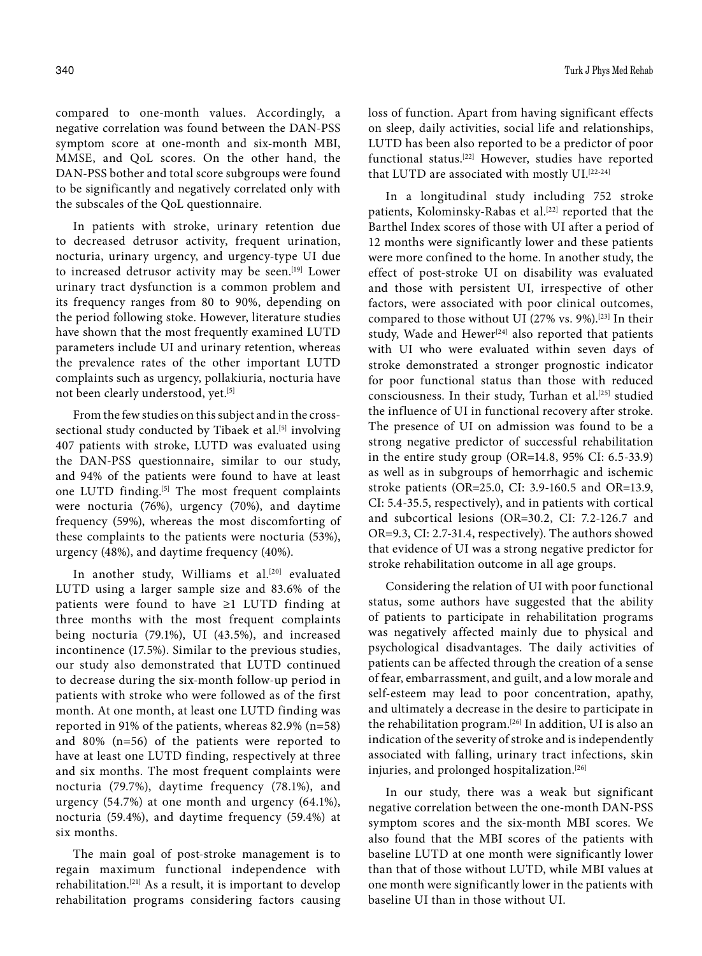compared to one-month values. Accordingly, a negative correlation was found between the DAN-PSS symptom score at one-month and six-month MBI, MMSE, and QoL scores. On the other hand, the DAN-PSS bother and total score subgroups were found to be significantly and negatively correlated only with the subscales of the QoL questionnaire.

In patients with stroke, urinary retention due to decreased detrusor activity, frequent urination, nocturia, urinary urgency, and urgency-type UI due to increased detrusor activity may be seen.<sup>[19]</sup> Lower urinary tract dysfunction is a common problem and its frequency ranges from 80 to 90%, depending on the period following stoke. However, literature studies have shown that the most frequently examined LUTD parameters include UI and urinary retention, whereas the prevalence rates of the other important LUTD complaints such as urgency, pollakiuria, nocturia have not been clearly understood, yet.<sup>[5]</sup>

From the few studies on this subject and in the crosssectional study conducted by Tibaek et al.<sup>[5]</sup> involving 407 patients with stroke, LUTD was evaluated using the DAN-PSS questionnaire, similar to our study, and 94% of the patients were found to have at least one LUTD finding.<sup>[5]</sup> The most frequent complaints were nocturia (76%), urgency (70%), and daytime frequency (59%), whereas the most discomforting of these complaints to the patients were nocturia (53%), urgency (48%), and daytime frequency (40%).

In another study, Williams et al.<sup>[20]</sup> evaluated LUTD using a larger sample size and 83.6% of the patients were found to have ≥1 LUTD finding at three months with the most frequent complaints being nocturia (79.1%), UI (43.5%), and increased incontinence (17.5%). Similar to the previous studies, our study also demonstrated that LUTD continued to decrease during the six-month follow-up period in patients with stroke who were followed as of the first month. At one month, at least one LUTD finding was reported in 91% of the patients, whereas 82.9% (n=58) and 80% (n=56) of the patients were reported to have at least one LUTD finding, respectively at three and six months. The most frequent complaints were nocturia (79.7%), daytime frequency (78.1%), and urgency (54.7%) at one month and urgency (64.1%), nocturia (59.4%), and daytime frequency (59.4%) at six months.

The main goal of post-stroke management is to regain maximum functional independence with rehabilitation.[21] As a result, it is important to develop rehabilitation programs considering factors causing loss of function. Apart from having significant effects on sleep, daily activities, social life and relationships, LUTD has been also reported to be a predictor of poor functional status.[22] However, studies have reported that LUTD are associated with mostly UI.<sup>[22-24]</sup>

In a longitudinal study including 752 stroke patients, Kolominsky-Rabas et al.<sup>[22]</sup> reported that the Barthel Index scores of those with UI after a period of 12 months were significantly lower and these patients were more confined to the home. In another study, the effect of post-stroke UI on disability was evaluated and those with persistent UI, irrespective of other factors, were associated with poor clinical outcomes, compared to those without UI (27% vs. 9%).<sup>[23]</sup> In their study, Wade and Hewer<sup>[24]</sup> also reported that patients with UI who were evaluated within seven days of stroke demonstrated a stronger prognostic indicator for poor functional status than those with reduced consciousness. In their study, Turhan et al.<sup>[25]</sup> studied the influence of UI in functional recovery after stroke. The presence of UI on admission was found to be a strong negative predictor of successful rehabilitation in the entire study group (OR=14.8, 95% CI: 6.5-33.9) as well as in subgroups of hemorrhagic and ischemic stroke patients (OR=25.0, CI: 3.9-160.5 and OR=13.9, CI: 5.4-35.5, respectively), and in patients with cortical and subcortical lesions (OR=30.2, CI: 7.2-126.7 and OR=9.3, CI: 2.7-31.4, respectively). The authors showed that evidence of UI was a strong negative predictor for stroke rehabilitation outcome in all age groups.

Considering the relation of UI with poor functional status, some authors have suggested that the ability of patients to participate in rehabilitation programs was negatively affected mainly due to physical and psychological disadvantages. The daily activities of patients can be affected through the creation of a sense of fear, embarrassment, and guilt, and a low morale and self-esteem may lead to poor concentration, apathy, and ultimately a decrease in the desire to participate in the rehabilitation program.[26] In addition, UI is also an indication of the severity of stroke and is independently associated with falling, urinary tract infections, skin injuries, and prolonged hospitalization.<sup>[26]</sup>

In our study, there was a weak but significant negative correlation between the one-month DAN-PSS symptom scores and the six-month MBI scores. We also found that the MBI scores of the patients with baseline LUTD at one month were significantly lower than that of those without LUTD, while MBI values at one month were significantly lower in the patients with baseline UI than in those without UI.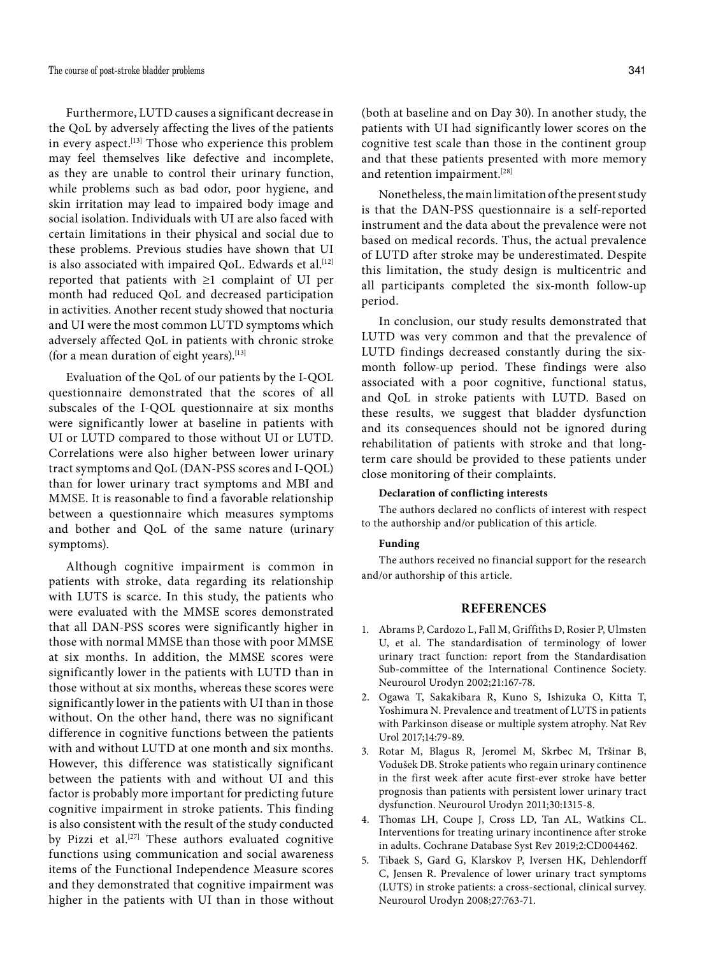Furthermore, LUTD causes a significant decrease in the QoL by adversely affecting the lives of the patients in every aspect.<sup>[13]</sup> Those who experience this problem may feel themselves like defective and incomplete, as they are unable to control their urinary function, while problems such as bad odor, poor hygiene, and skin irritation may lead to impaired body image and social isolation. Individuals with UI are also faced with certain limitations in their physical and social due to these problems. Previous studies have shown that UI is also associated with impaired OoL. Edwards et al.<sup>[12]</sup> reported that patients with ≥1 complaint of UI per month had reduced QoL and decreased participation in activities. Another recent study showed that nocturia and UI were the most common LUTD symptoms which adversely affected QoL in patients with chronic stroke (for a mean duration of eight years). $[13]$ 

Evaluation of the QoL of our patients by the I-QOL questionnaire demonstrated that the scores of all subscales of the I-QOL questionnaire at six months were significantly lower at baseline in patients with UI or LUTD compared to those without UI or LUTD. Correlations were also higher between lower urinary tract symptoms and QoL (DAN-PSS scores and I-QOL) than for lower urinary tract symptoms and MBI and MMSE. It is reasonable to find a favorable relationship between a questionnaire which measures symptoms and bother and QoL of the same nature (urinary symptoms).

Although cognitive impairment is common in patients with stroke, data regarding its relationship with LUTS is scarce. In this study, the patients who were evaluated with the MMSE scores demonstrated that all DAN-PSS scores were significantly higher in those with normal MMSE than those with poor MMSE at six months. In addition, the MMSE scores were significantly lower in the patients with LUTD than in those without at six months, whereas these scores were significantly lower in the patients with UI than in those without. On the other hand, there was no significant difference in cognitive functions between the patients with and without LUTD at one month and six months. However, this difference was statistically significant between the patients with and without UI and this factor is probably more important for predicting future cognitive impairment in stroke patients. This finding is also consistent with the result of the study conducted by Pizzi et al.<sup>[27]</sup> These authors evaluated cognitive functions using communication and social awareness items of the Functional Independence Measure scores and they demonstrated that cognitive impairment was higher in the patients with UI than in those without

(both at baseline and on Day 30). In another study, the patients with UI had significantly lower scores on the cognitive test scale than those in the continent group and that these patients presented with more memory and retention impairment.<sup>[28]</sup>

Nonetheless, the main limitation of the present study is that the DAN-PSS questionnaire is a self-reported instrument and the data about the prevalence were not based on medical records. Thus, the actual prevalence of LUTD after stroke may be underestimated. Despite this limitation, the study design is multicentric and all participants completed the six-month follow-up period.

In conclusion, our study results demonstrated that LUTD was very common and that the prevalence of LUTD findings decreased constantly during the sixmonth follow-up period. These findings were also associated with a poor cognitive, functional status, and QoL in stroke patients with LUTD. Based on these results, we suggest that bladder dysfunction and its consequences should not be ignored during rehabilitation of patients with stroke and that longterm care should be provided to these patients under close monitoring of their complaints.

#### **Declaration of conflicting interests**

The authors declared no conflicts of interest with respect to the authorship and/or publication of this article.

#### **Funding**

The authors received no financial support for the research and/or authorship of this article.

### **REFERENCES**

- 1. Abrams P, Cardozo L, Fall M, Griffiths D, Rosier P, Ulmsten U, et al. The standardisation of terminology of lower urinary tract function: report from the Standardisation Sub-committee of the International Continence Society. Neurourol Urodyn 2002;21:167-78.
- 2. Ogawa T, Sakakibara R, Kuno S, Ishizuka O, Kitta T, Yoshimura N. Prevalence and treatment of LUTS in patients with Parkinson disease or multiple system atrophy. Nat Rev Urol 2017;14:79-89.
- 3. Rotar M, Blagus R, Jeromel M, Skrbec M, Tršinar B, Vodušek DB. Stroke patients who regain urinary continence in the first week after acute first-ever stroke have better prognosis than patients with persistent lower urinary tract dysfunction. Neurourol Urodyn 2011;30:1315-8.
- 4. Thomas LH, Coupe J, Cross LD, Tan AL, Watkins CL. Interventions for treating urinary incontinence after stroke in adults. Cochrane Database Syst Rev 2019;2:CD004462.
- 5. Tibaek S, Gard G, Klarskov P, Iversen HK, Dehlendorff C, Jensen R. Prevalence of lower urinary tract symptoms (LUTS) in stroke patients: a cross-sectional, clinical survey. Neurourol Urodyn 2008;27:763-71.